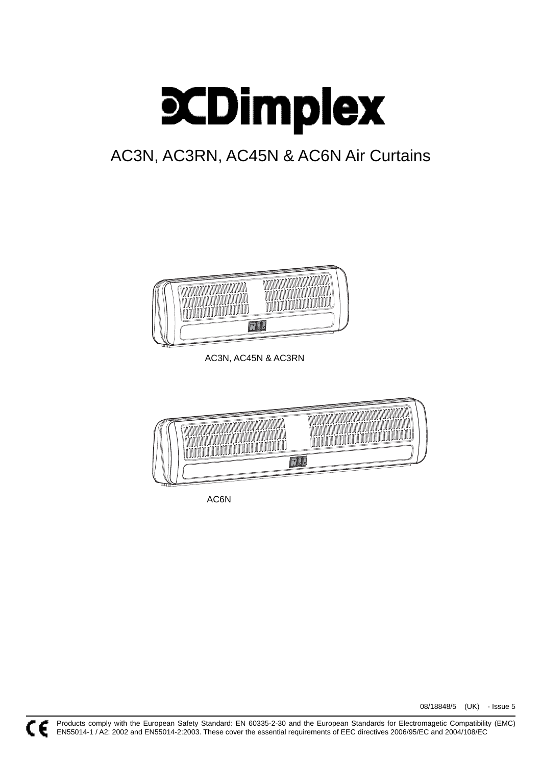

# AC3N, AC3RN, AC45N & AC6N Air Curtains



AC3N, AC45N & AC3RN



AC6N

08/18848/5 (UK) - Issue 5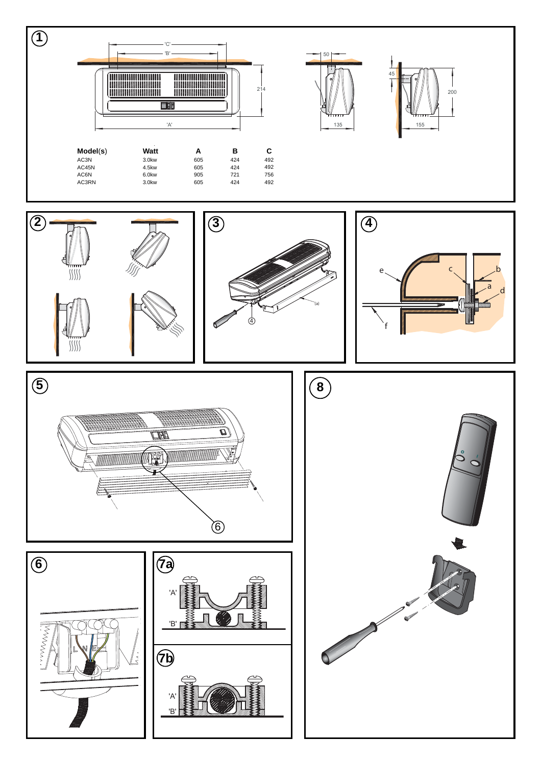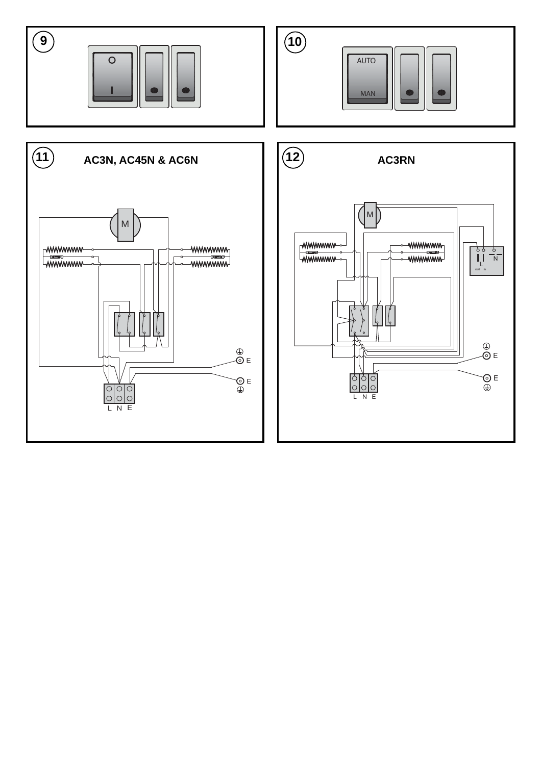